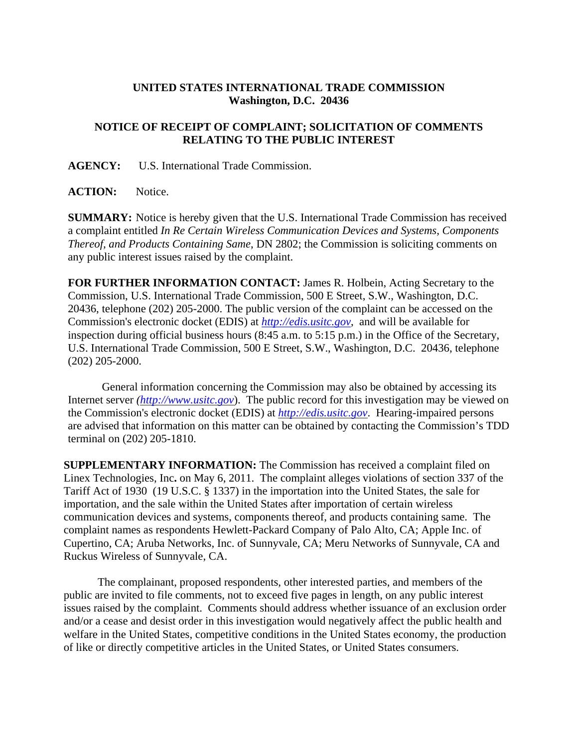## **UNITED STATES INTERNATIONAL TRADE COMMISSION Washington, D.C. 20436**

## **NOTICE OF RECEIPT OF COMPLAINT; SOLICITATION OF COMMENTS RELATING TO THE PUBLIC INTEREST**

**AGENCY:** U.S. International Trade Commission.

**ACTION:** Notice.

**SUMMARY:** Notice is hereby given that the U.S. International Trade Commission has received a complaint entitled *In Re Certain Wireless Communication Devices and Systems, Components Thereof, and Products Containing Same*, DN 2802; the Commission is soliciting comments on any public interest issues raised by the complaint.

**FOR FURTHER INFORMATION CONTACT:** James R. Holbein, Acting Secretary to the Commission, U.S. International Trade Commission, 500 E Street, S.W., Washington, D.C. 20436, telephone (202) 205-2000. The public version of the complaint can be accessed on the Commission's electronic docket (EDIS) at *http://edis.usitc.gov*,and will be available for inspection during official business hours (8:45 a.m. to 5:15 p.m.) in the Office of the Secretary, U.S. International Trade Commission, 500 E Street, S.W., Washington, D.C. 20436, telephone (202) 205-2000.

General information concerning the Commission may also be obtained by accessing its Internet server *(http://www.usitc.gov*). The public record for this investigation may be viewed on the Commission's electronic docket (EDIS) at *http://edis.usitc.gov*. Hearing-impaired persons are advised that information on this matter can be obtained by contacting the Commission's TDD terminal on (202) 205-1810.

**SUPPLEMENTARY INFORMATION:** The Commission has received a complaint filed on Linex Technologies, Inc**.** on May 6, 2011. The complaint alleges violations of section 337 of the Tariff Act of 1930 (19 U.S.C. § 1337) in the importation into the United States, the sale for importation, and the sale within the United States after importation of certain wireless communication devices and systems, components thereof, and products containing same. The complaint names as respondents Hewlett-Packard Company of Palo Alto, CA; Apple Inc. of Cupertino, CA; Aruba Networks, Inc. of Sunnyvale, CA; Meru Networks of Sunnyvale, CA and Ruckus Wireless of Sunnyvale, CA.

 The complainant, proposed respondents, other interested parties, and members of the public are invited to file comments, not to exceed five pages in length, on any public interest issues raised by the complaint. Comments should address whether issuance of an exclusion order and/or a cease and desist order in this investigation would negatively affect the public health and welfare in the United States, competitive conditions in the United States economy, the production of like or directly competitive articles in the United States, or United States consumers.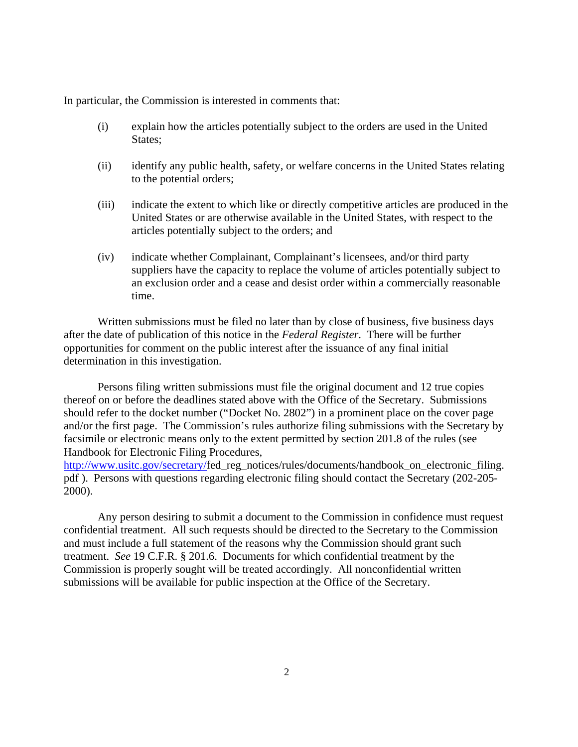In particular, the Commission is interested in comments that:

- (i) explain how the articles potentially subject to the orders are used in the United States;
- (ii) identify any public health, safety, or welfare concerns in the United States relating to the potential orders;
- (iii) indicate the extent to which like or directly competitive articles are produced in the United States or are otherwise available in the United States, with respect to the articles potentially subject to the orders; and
- (iv) indicate whether Complainant, Complainant's licensees, and/or third party suppliers have the capacity to replace the volume of articles potentially subject to an exclusion order and a cease and desist order within a commercially reasonable time.

 Written submissions must be filed no later than by close of business, five business days after the date of publication of this notice in the *Federal Register*. There will be further opportunities for comment on the public interest after the issuance of any final initial determination in this investigation.

 Persons filing written submissions must file the original document and 12 true copies thereof on or before the deadlines stated above with the Office of the Secretary. Submissions should refer to the docket number ("Docket No. 2802") in a prominent place on the cover page and/or the first page. The Commission's rules authorize filing submissions with the Secretary by facsimile or electronic means only to the extent permitted by section 201.8 of the rules (see Handbook for Electronic Filing Procedures,

http://www.usitc.gov/secretary/fed\_reg\_notices/rules/documents/handbook\_on\_electronic\_filing. pdf ). Persons with questions regarding electronic filing should contact the Secretary (202-205- 2000).

 Any person desiring to submit a document to the Commission in confidence must request confidential treatment. All such requests should be directed to the Secretary to the Commission and must include a full statement of the reasons why the Commission should grant such treatment. *See* 19 C.F.R. § 201.6. Documents for which confidential treatment by the Commission is properly sought will be treated accordingly. All nonconfidential written submissions will be available for public inspection at the Office of the Secretary.